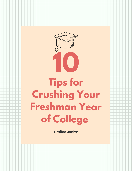

## **Tips for Crushing Your Freshman Year of College**

- Emilee Janitz -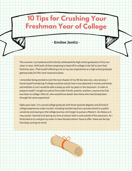## **10 Tips for Crushing Your Freshman Year of College**



- Emilee Janitz -

Thissummer, my husband and hisfamily celebrated the high school graduation of my two sister-in-laws. With both of them preparing to head off to college in the fall to start their freshman year, I find myself reflecting a lot on my own experiences as a high school graduate getting ready for life's next important phase.

I remember being excited to start the next chapter of my life but also very, very nervous. I found myself wondering if college would be exactly how it was depicted in movies and books, andwhether or not Iwould be able to keep upwith my peersin the classroom. In order to prepare myself, Isought out advice from older friends, parents, teachers, anyonewho had ever been to college. After all, who would know better than those who had already been through the same experience?

Eight years later, I'm a proud college graduate with three separate degrees and all kind of college experiences under my belt, including transferring from a private school to a public university and staying on the college journey a bit longer to pursue a Master's. Ascheesy asit may sound, I learned a lot during my time at school, both in and outside of the classroom. As I think back to try and give my sister-in-lawsthe best advice I have to offer, these are the tips that keep coming tto mind: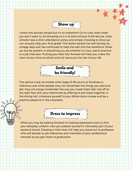

I know this sounds simple but it's so important! Go to class, even when you don't want to. As tempting as it is to blow off your 8 AM lecture, most schools have a strict attendance policy and simply choosing to show up can actually help your final grade. This lesson served me well during my college days and has continued to help me well into the workforce. Show up and be present in everything you do whether it's class, sports practice or a job interview. Putting your best foot forward will help you make the most of your time at school and will serve you the rest of your life.



This advice is key no matter what stage of life you're at! Kindness is infectious and while people may not remember the things you said and did, they will always remember the way you made them feel. Get off on the right foot with your roommate by offering to eat meals together in the dining hall, introduce yourself to your fellow dorm-mates and be a positive presence in the classroom.

 $000$ 



While you may be looking forward to making sweatpants and a t-shirt your everyday uniform, how you present yourself is ultimately part of your personal brand. Dressing a little nicer will help you stand out to professors who will double as job references and members of your professional network as you get closer to graduation.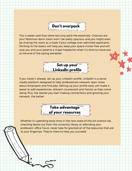## **Don't overpack**

This is easier said than done but only pack the essentials. Chances are, your freshman dorm room won't be overly spacious and you might even be sharing the room as a triple if your college over-admitted applicants. Sticking to the basics will help you keep your space clutter-free and will save you and your parents a major headache when it's time to move out at the end of the spring semester!



If you haven't already, set up your LinkedIn profile. LinkedIn is a social media platform designed to help professionals network, learn more about employers and find jobs. Setting up your profile early will make it easier to add experiences, relevant coursework and honors as they come along. Plus, the sooner you start making connections and growing your network, the better!



Whether it's spending extra time in the new state-of-the-art science lab, checking books out from the university library or attending your professors' office hours, never take for granted all of the resources that are at your fingertips. They're there to help you succeed!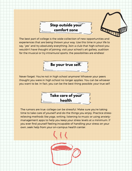



The best part of college is the wide collection of new opportunities and experiences that are being thrown your way. Use this time in your life to say, "yes" and try absolutely everything. Join a club that high-school-you wouldn't have thought of joining, visit your school's art gallery, audition for the musical or try intramural sports; the possibilities are endless!



Never forget: You're not in high school anymore! Whoever your peers thought you were in high school no longer applies. You can be whoever you want to be. In fact, you can be the best thing possible: your true self.



The rumors are true: college can be stressful. Make sure you're taking time to take care of yourself and do the things you enjoy. Practice stressrelieving methods like yoga, writing, listening to music or using anxietymanagement apps to help you keep your stress levels at a minimum. If you ever find yourself feeling incapable of handling your stress on your own, seek help from your on-campus health center.